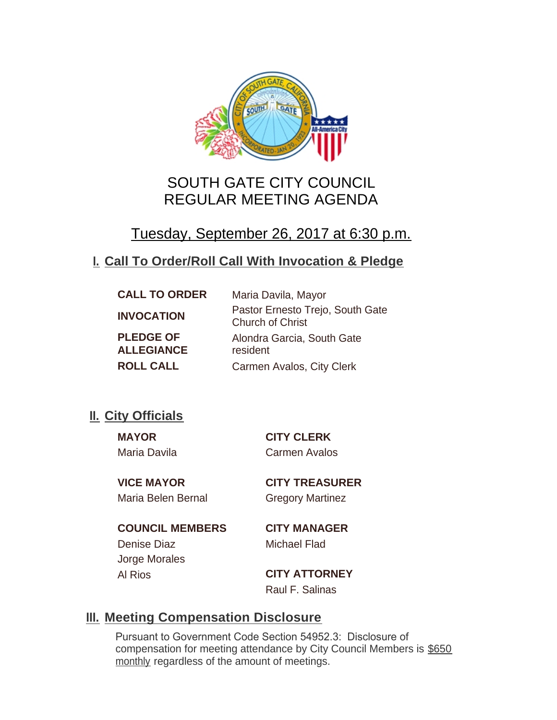

# SOUTH GATE CITY COUNCIL REGULAR MEETING AGENDA

# Tuesday, September 26, 2017 at 6:30 p.m.

# **Call To Order/Roll Call With Invocation & Pledge I.**

| <b>CALL TO ORDER</b>                  | Maria Davila, Mayor                                         |
|---------------------------------------|-------------------------------------------------------------|
| <b>INVOCATION</b>                     | Pastor Ernesto Trejo, South Gate<br><b>Church of Christ</b> |
| <b>PLEDGE OF</b><br><b>ALLEGIANCE</b> | Alondra Garcia, South Gate<br>resident                      |
| <b>ROLL CALL</b>                      | Carmen Avalos, City Clerk                                   |

# **II.** City Officials

**MAYOR CITY CLERK** Maria Davila Carmen Avalos

Maria Belen Bernal Gregory Martinez

**VICE MAYOR CITY TREASURER**

**COUNCIL MEMBERS CITY MANAGER** Denise Diaz Michael Flad Jorge Morales Al Rios **CITY ATTORNEY**

Raul F. Salinas

# **Meeting Compensation Disclosure III.**

Pursuant to Government Code Section 54952.3: Disclosure of compensation for meeting attendance by City Council Members is \$650 monthly regardless of the amount of meetings.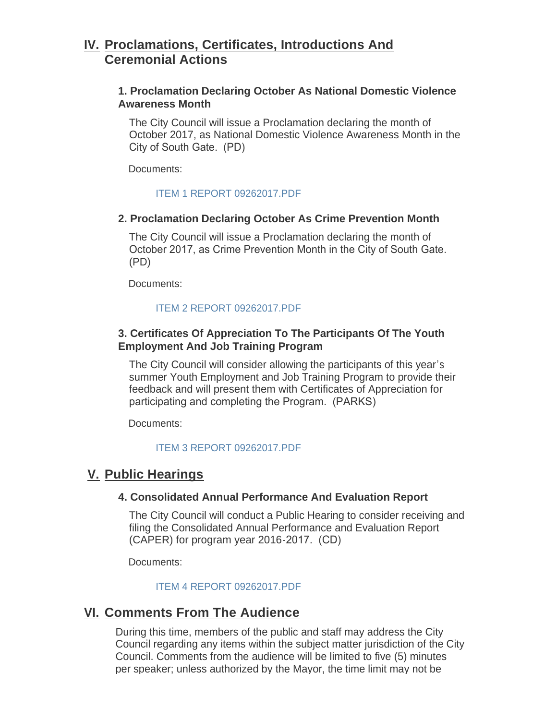## **Proclamations, Certificates, Introductions And IV. Ceremonial Actions**

## **1. Proclamation Declaring October As National Domestic Violence Awareness Month**

The City Council will issue a Proclamation declaring the month of October 2017, as National Domestic Violence Awareness Month in the City of South Gate. (PD)

Documents:

#### [ITEM 1 REPORT 09262017.PDF](http://www.cityofsouthgate.org/AgendaCenter/ViewFile/Item/4826?fileID=10860)

#### **2. Proclamation Declaring October As Crime Prevention Month**

The City Council will issue a Proclamation declaring the month of October 2017, as Crime Prevention Month in the City of South Gate. (PD)

Documents:

### [ITEM 2 REPORT 09262017.PDF](http://www.cityofsouthgate.org/AgendaCenter/ViewFile/Item/4827?fileID=10861)

## **3. Certificates Of Appreciation To The Participants Of The Youth Employment And Job Training Program**

The City Council will consider allowing the participants of this year's summer Youth Employment and Job Training Program to provide their feedback and will present them with Certificates of Appreciation for participating and completing the Program. (PARKS)

Documents:

### [ITEM 3 REPORT 09262017.PDF](http://www.cityofsouthgate.org/AgendaCenter/ViewFile/Item/4828?fileID=10862)

## **Public Hearings V.**

### **4. Consolidated Annual Performance And Evaluation Report**

The City Council will conduct a Public Hearing to consider receiving and filing the Consolidated Annual Performance and Evaluation Report (CAPER) for program year 2016-2017. (CD)

Documents:

### [ITEM 4 REPORT 09262017.PDF](http://www.cityofsouthgate.org/AgendaCenter/ViewFile/Item/4841?fileID=10872)

## **<u>VI. Comments From The Audience</u>**

During this time, members of the public and staff may address the City Council regarding any items within the subject matter jurisdiction of the City Council. Comments from the audience will be limited to five (5) minutes per speaker; unless authorized by the Mayor, the time limit may not be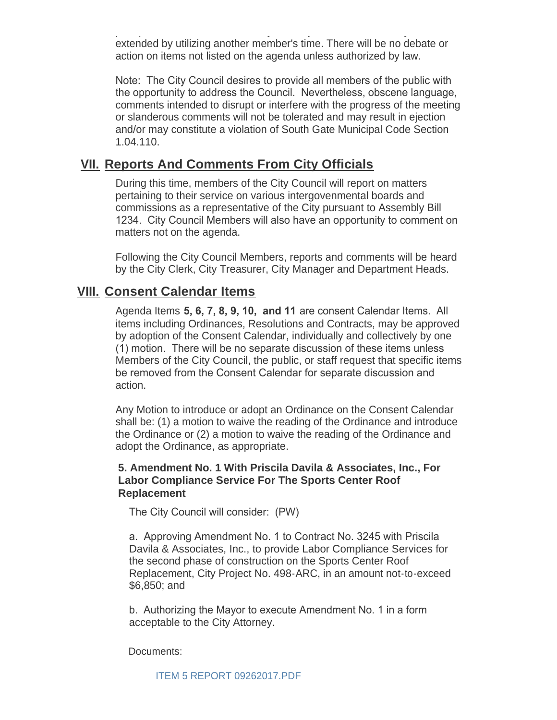per speaker; unless authorized by the Mayor, the time limit may not be extended by utilizing another member's time. There will be no debate or action on items not listed on the agenda unless authorized by law.

Note: The City Council desires to provide all members of the public with the opportunity to address the Council. Nevertheless, obscene language, comments intended to disrupt or interfere with the progress of the meeting or slanderous comments will not be tolerated and may result in ejection and/or may constitute a violation of South Gate Municipal Code Section 1.04.110.

## **<u>VII. Reports And Comments From City Officials</u>**

During this time, members of the City Council will report on matters pertaining to their service on various intergovenmental boards and commissions as a representative of the City pursuant to Assembly Bill 1234. City Council Members will also have an opportunity to comment on matters not on the agenda.

Following the City Council Members, reports and comments will be heard by the City Clerk, City Treasurer, City Manager and Department Heads.

## **Consent Calendar Items VIII.**

Agenda Items **5, 6, 7, 8, 9, 10, and 11** are consent Calendar Items. All items including Ordinances, Resolutions and Contracts, may be approved by adoption of the Consent Calendar, individually and collectively by one (1) motion. There will be no separate discussion of these items unless Members of the City Council, the public, or staff request that specific items be removed from the Consent Calendar for separate discussion and action.

Any Motion to introduce or adopt an Ordinance on the Consent Calendar shall be: (1) a motion to waive the reading of the Ordinance and introduce the Ordinance or (2) a motion to waive the reading of the Ordinance and adopt the Ordinance, as appropriate.

## **5. Amendment No. 1 With Priscila Davila & Associates, Inc., For Labor Compliance Service For The Sports Center Roof Replacement**

The City Council will consider: (PW)

a. Approving Amendment No. 1 to Contract No. 3245 with Priscila Davila & Associates, Inc., to provide Labor Compliance Services for the second phase of construction on the Sports Center Roof Replacement, City Project No. 498-ARC, in an amount not-to-exceed \$6,850; and

b. Authorizing the Mayor to execute Amendment No. 1 in a form acceptable to the City Attorney.

Documents: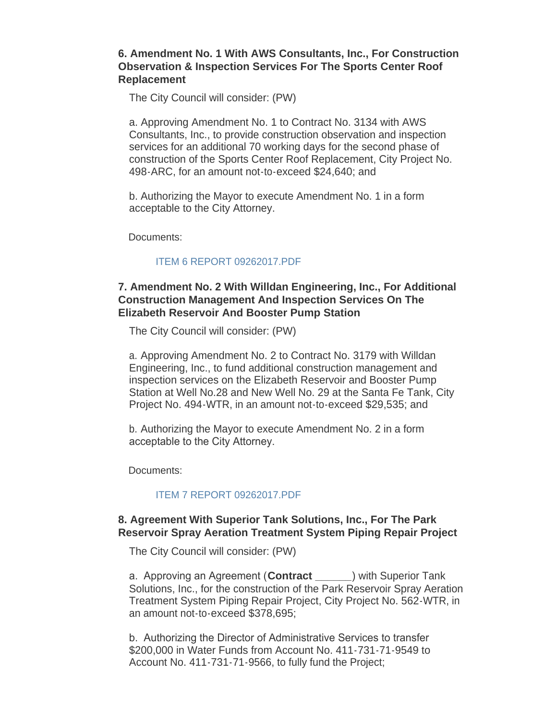### **6. Amendment No. 1 With AWS Consultants, Inc., For Construction Observation & Inspection Services For The Sports Center Roof Replacement**

The City Council will consider: (PW)

a. Approving Amendment No. 1 to Contract No. 3134 with AWS Consultants, Inc., to provide construction observation and inspection services for an additional 70 working days for the second phase of construction of the Sports Center Roof Replacement, City Project No. 498-ARC, for an amount not-to-exceed \$24,640; and

b. Authorizing the Mayor to execute Amendment No. 1 in a form acceptable to the City Attorney.

Documents:

### [ITEM 6 REPORT 09262017.PDF](http://www.cityofsouthgate.org/AgendaCenter/ViewFile/Item/4839?fileID=10870)

## **7. Amendment No. 2 With Willdan Engineering, Inc., For Additional Construction Management And Inspection Services On The Elizabeth Reservoir And Booster Pump Station**

The City Council will consider: (PW)

a. Approving Amendment No. 2 to Contract No. 3179 with Willdan Engineering, Inc., to fund additional construction management and inspection services on the Elizabeth Reservoir and Booster Pump Station at Well No.28 and New Well No. 29 at the Santa Fe Tank, City Project No. 494-WTR, in an amount not-to-exceed \$29,535; and

b. Authorizing the Mayor to execute Amendment No. 2 in a form acceptable to the City Attorney.

Documents:

### [ITEM 7 REPORT 09262017.PDF](http://www.cityofsouthgate.org/AgendaCenter/ViewFile/Item/4833?fileID=10866)

### **8. Agreement With Superior Tank Solutions, Inc., For The Park Reservoir Spray Aeration Treatment System Piping Repair Project**

The City Council will consider: (PW)

a. Approving an Agreement (**Contract \_\_\_\_\_\_**) with Superior Tank Solutions, Inc., for the construction of the Park Reservoir Spray Aeration Treatment System Piping Repair Project, City Project No. 562-WTR, in an amount not-to-exceed \$378,695;

b. Authorizing the Director of Administrative Services to transfer \$200,000 in Water Funds from Account No. 411-731-71-9549 to Account No. 411-731-71-9566, to fully fund the Project;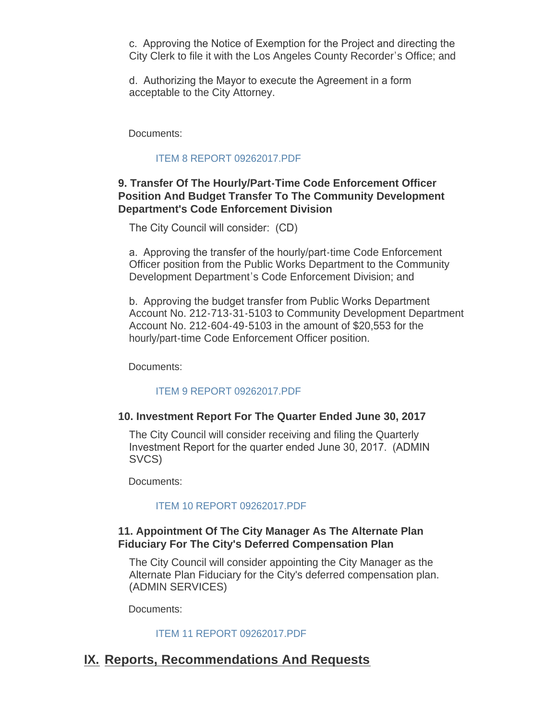c. Approving the Notice of Exemption for the Project and directing the City Clerk to file it with the Los Angeles County Recorder's Office; and

d. Authorizing the Mayor to execute the Agreement in a form acceptable to the City Attorney.

Documents:

### [ITEM 8 REPORT 09262017.PDF](http://www.cityofsouthgate.org/AgendaCenter/ViewFile/Item/4834?fileID=10868)

## **9. Transfer Of The Hourly/Part-Time Code Enforcement Officer Position And Budget Transfer To The Community Development Department's Code Enforcement Division**

The City Council will consider: (CD)

a. Approving the transfer of the hourly/part-time Code Enforcement Officer position from the Public Works Department to the Community Development Department's Code Enforcement Division; and

b. Approving the budget transfer from Public Works Department Account No. 212-713-31-5103 to Community Development Department Account No. 212-604-49-5103 in the amount of \$20,553 for the hourly/part-time Code Enforcement Officer position.

Documents:

### [ITEM 9 REPORT 09262017.PDF](http://www.cityofsouthgate.org/AgendaCenter/ViewFile/Item/4840?fileID=10871)

### **10. Investment Report For The Quarter Ended June 30, 2017**

The City Council will consider receiving and filing the Quarterly Investment Report for the quarter ended June 30, 2017. (ADMIN SVCS)

Documents:

#### [ITEM 10 REPORT 09262017.PDF](http://www.cityofsouthgate.org/AgendaCenter/ViewFile/Item/4843?fileID=10874)

### **11. Appointment Of The City Manager As The Alternate Plan Fiduciary For The City's Deferred Compensation Plan**

The City Council will consider appointing the City Manager as the Alternate Plan Fiduciary for the City's deferred compensation plan. (ADMIN SERVICES)

Documents:

#### [ITEM 11 REPORT 09262017.PDF](http://www.cityofsouthgate.org/AgendaCenter/ViewFile/Item/4835?fileID=10867)

## **IX. Reports, Recommendations And Requests**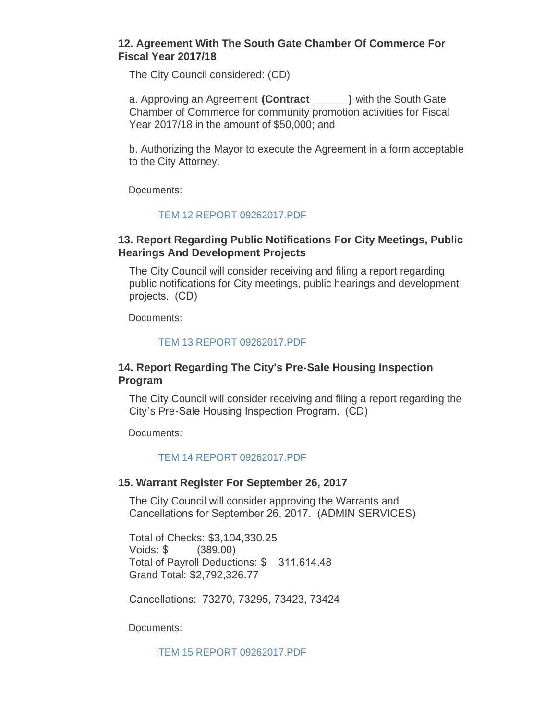#### **12. Agreement With The South Gate Chamber Of Commerce For Fiscal Year 2017/18**

The City Council considered: (CD)

a. Approving an Agreement **(Contract \_\_\_\_\_\_)** with the South Gate Chamber of Commerce for community promotion activities for Fiscal Year 2017/18 in the amount of \$50,000; and

b. Authorizing the Mayor to execute the Agreement in a form acceptable to the City Attorney.

Documents:

#### [ITEM 12 REPORT 09262017.PDF](http://www.cityofsouthgate.org/AgendaCenter/ViewFile/Item/4836?fileID=10869)

#### **13. Report Regarding Public Notifications For City Meetings, Public Hearings And Development Projects**

The City Council will consider receiving and filing a report regarding public notifications for City meetings, public hearings and development projects. (CD)

Documents:

#### [ITEM 13 REPORT 09262017.PDF](http://www.cityofsouthgate.org/AgendaCenter/ViewFile/Item/4829?fileID=10863)

#### **14. Report Regarding The City's Pre-Sale Housing Inspection Program**

The City Council will consider receiving and filing a report regarding the City's Pre-Sale Housing Inspection Program. (CD)

Documents:

#### [ITEM 14 REPORT 09262017.PDF](http://www.cityofsouthgate.org/AgendaCenter/ViewFile/Item/4830?fileID=10864)

#### **15. Warrant Register For September 26, 2017**

The City Council will consider approving the Warrants and Cancellations for September 26, 2017. (ADMIN SERVICES)

Total of Checks: \$3,104,330.25 Voids: \$ (389.00) Total of Payroll Deductions: \$ 311,614.48 Grand Total: \$2,792,326.77

Cancellations: 73270, 73295, 73423, 73424

Documents:

[ITEM 15 REPORT 09262017.PDF](http://www.cityofsouthgate.org/AgendaCenter/ViewFile/Item/4831?fileID=10865)